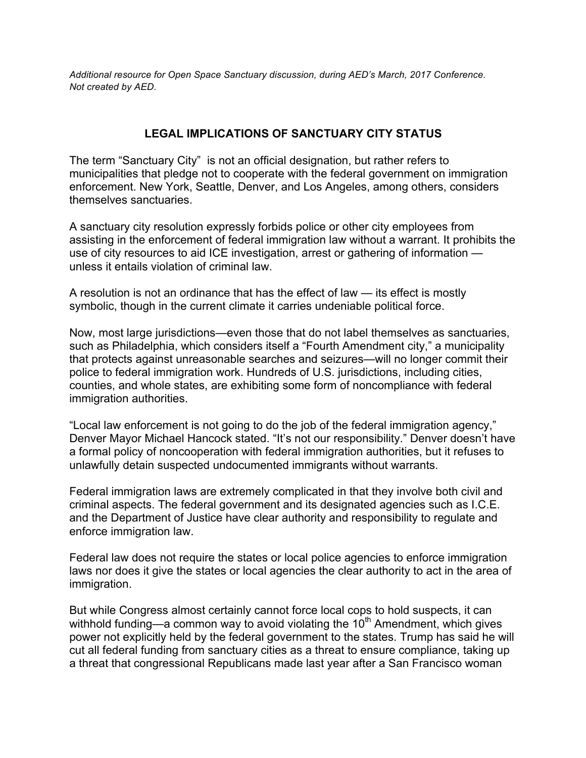*Additional resource for Open Space Sanctuary discussion, during AED's March, 2017 Conference. Not created by AED.*

## **LEGAL IMPLICATIONS OF SANCTUARY CITY STATUS**

The term "Sanctuary City" is not an official designation, but rather refers to municipalities that pledge not to cooperate with the federal government on immigration enforcement. New York, Seattle, Denver, and Los Angeles, among others, considers themselves sanctuaries.

A sanctuary city resolution expressly forbids police or other city employees from assisting in the enforcement of federal immigration law without a warrant. It prohibits the use of city resources to aid ICE investigation, arrest or gathering of information unless it entails violation of criminal law.

A resolution is not an ordinance that has the effect of law — its effect is mostly symbolic, though in the current climate it carries undeniable political force.

Now, most large jurisdictions—even those that do not label themselves as sanctuaries, such as Philadelphia, which considers itself a "Fourth Amendment city," a municipality that protects against unreasonable searches and seizures—will no longer commit their police to federal immigration work. Hundreds of U.S. jurisdictions, including cities, counties, and whole states, are exhibiting some form of noncompliance with federal immigration authorities.

"Local law enforcement is not going to do the job of the federal immigration agency," Denver Mayor Michael Hancock stated. "It's not our responsibility." Denver doesn't have a formal policy of noncooperation with federal immigration authorities, but it refuses to unlawfully detain suspected undocumented immigrants without warrants.

Federal immigration laws are extremely complicated in that they involve both civil and criminal aspects. The federal government and its designated agencies such as I.C.E. and the Department of Justice have clear authority and responsibility to regulate and enforce immigration law.

Federal law does not require the states or local police agencies to enforce immigration laws nor does it give the states or local agencies the clear authority to act in the area of immigration.

But while Congress almost certainly cannot force local cops to hold suspects, it can withhold funding—a common way to avoid violating the  $10<sup>th</sup>$  Amendment, which gives power not explicitly held by the federal government to the states. Trump has said he will cut all federal funding from sanctuary cities as a threat to ensure compliance, taking up a threat that congressional Republicans made last year after a San Francisco woman